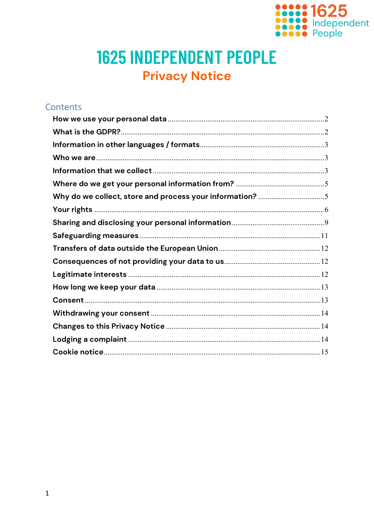

# **1625 INDEPENDENT PEOPLE Privacy Notice**

# Contents Who we are  $\frac{3}{2}$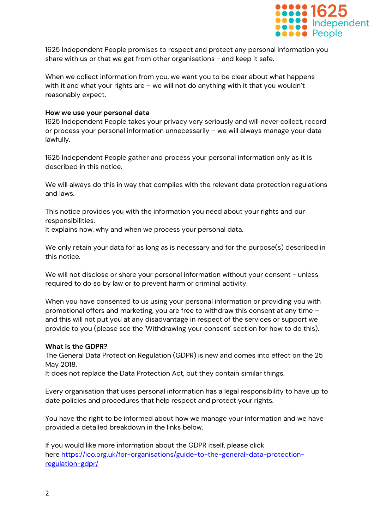

1625 Independent People promises to respect and protect any personal information you share with us or that we get from other organisations - and keep it safe.

When we collect information from you, we want you to be clear about what happens with it and what your rights are – we will not do anything with it that you wouldn't reasonably expect.

#### <span id="page-1-0"></span>**How we use your personal data**

1625 Independent People takes your privacy very seriously and will never collect, record or process your personal information unnecessarily – we will always manage your data lawfully.

1625 Independent People gather and process your personal information only as it is described in this notice.

We will always do this in way that complies with the relevant data protection regulations and laws.

This notice provides you with the information you need about your rights and our responsibilities.

It explains how, why and when we process your personal data.

We only retain your data for as long as is necessary and for the purpose(s) described in this notice.

We will not disclose or share your personal information without your consent - unless required to do so by law or to prevent harm or criminal activity.

When you have consented to us using your personal information or providing you with promotional offers and marketing, you are free to withdraw this consent at any time – and this will not put you at any disadvantage in respect of the services or support we provide to you (please see the 'Withdrawing your consent' section for how to do this).

#### <span id="page-1-1"></span>**What is the GDPR?**

The General Data Protection Regulation (GDPR) is new and comes into effect on the 25 May 2018.

It does not replace the Data Protection Act, but they contain similar things.

Every organisation that uses personal information has a legal responsibility to have up to date policies and procedures that help respect and protect your rights.

You have the right to be informed about how we manage your information and we have provided a detailed breakdown in the links below.

If you would like more information about the GDPR itself, please click here [https://ico.org.uk/for-organisations/guide-to-the-general-data-protection](https://ico.org.uk/for-organisations/guide-to-the-general-data-protection-regulation-gdpr/)[regulation-gdpr/](https://ico.org.uk/for-organisations/guide-to-the-general-data-protection-regulation-gdpr/)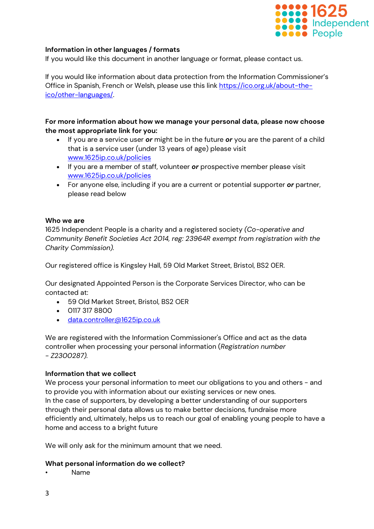

# <span id="page-2-0"></span>**Information in other languages / formats**

If you would like this document in another language or format, please contact us.

If you would like information about data protection from the Information Commissioner's Office in Spanish, French or Welsh, please use this link [https://ico.org.uk/about-the](https://ico.org.uk/about-the-ico/other-languages/)[ico/other-languages/.](https://ico.org.uk/about-the-ico/other-languages/)

# **For more information about how we manage your personal data, please now choose the most appropriate link for you:**

- If you are a service user *or* might be in the future *or* you are the parent of a child that is a service user (under 13 years of age) please visit [www.1625ip.co.uk/policies](http://www.1625ip.co.uk/policies)
- If you are a member of staff, volunteer *or* prospective member please visit [www.1625ip.co.uk/policies](http://www.1625ip.co.uk/policies)
- For anyone else, including if you are a current or potential supporter *or* partner, please read below

#### <span id="page-2-1"></span>**Who we are**

1625 Independent People is a charity and a registered society *(Co-operative and Community Benefit Societies Act 2014, reg: 23964R exempt from registration with the Charity Commission).*

Our registered office is Kingsley Hall, 59 Old Market Street, Bristol, BS2 0ER.

Our designated Appointed Person is the Corporate Services Director, who can be contacted at:

- 59 Old Market Street, Bristol, BS2 OER
- 0117 317 8800
- · [data.controller@1625ip.co.uk](mailto:Data.controller@1625ip.co.uk)

We are registered with the Information Commissioner's Office and act as the data controller when processing your personal information (*Registration number - Z2300287).*

# <span id="page-2-2"></span>**Information that we collect**

We process your personal information to meet our obligations to you and others - and to provide you with information about our existing services or new ones. In the case of supporters, by developing a better understanding of our supporters through their personal data allows us to make better decisions, fundraise more efficiently and, ultimately, helps us to reach our goal of enabling young people to have a home and access to a bright future

We will only ask for the minimum amount that we need.

#### **What personal information do we collect?**

• Name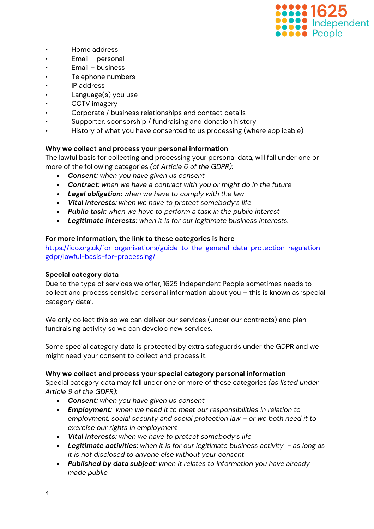

- Home address
- Email personal
- Email business
- Telephone numbers
- IP address
- Language(s) you use
- CCTV imagery
- Corporate / business relationships and contact details
- Supporter, sponsorship / fundraising and donation history
- History of what you have consented to us processing (where applicable)

# **Why we collect and process your personal information**

The lawful basis for collecting and processing your personal data, will fall under one or more of the following categories *(of Article 6 of the GDPR):*

- *Consent: when you have given us consent*
- *Contract: when we have a contract with you or might do in the future*
- *Legal obligation: when we have to comply with the law*
- *Vital interests: when we have to protect somebody's life*
- *Public task: when we have to perform a task in the public interest*
- *Legitimate interests: when it is for our legitimate business interests.*

# **For more information, the link to these categories is here**

[https://ico.org.uk/for-organisations/guide-to-the-general-data-protection-regulation](https://ico.org.uk/for-organisations/guide-to-the-general-data-protection-regulation-gdpr/lawful-basis-for-processing/)[gdpr/lawful-basis-for-processing/](https://ico.org.uk/for-organisations/guide-to-the-general-data-protection-regulation-gdpr/lawful-basis-for-processing/)

# **Special category data**

Due to the type of services we offer, 1625 Independent People sometimes needs to collect and process sensitive personal information about you – this is known as 'special category data'.

We only collect this so we can deliver our services (under our contracts) and plan fundraising activity so we can develop new services.

Some special category data is protected by extra safeguards under the GDPR and we might need your consent to collect and process it.

# **Why we collect and process your special category personal information**

Special category data may fall under one or more of these categories *(as listed under Article 9 of the GDPR):*

- *Consent: when you have given us consent*
- *Employment: when we need it to meet our responsibilities in relation to employment, social security and social protection law – or we both need it to exercise our rights in employment*
- *Vital interests: when we have to protect somebody's life*
- *Legitimate activities: when it is for our legitimate business activity - as long as it is not disclosed to anyone else without your consent*
- *Published by data subject: when it relates to information you have already made public*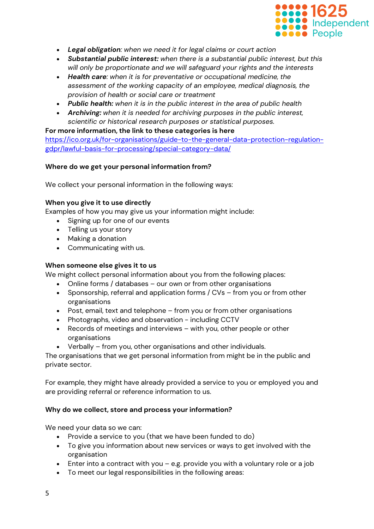

- *Legal obligation: when we need it for legal claims or court action*
- *Substantial public interest: when there is a substantial public interest, but this will only be proportionate and we will safeguard your rights and the interests*
- *Health care: when it is for preventative or occupational medicine, the assessment of the working capacity of an employee, medical diagnosis, the provision of health or social care or treatment*
- *Public health: when it is in the public interest in the area of public health*
- *Archiving: when it is needed for archiving purposes in the public interest, scientific or historical research purposes or statistical purposes.*

# **For more information, the link to these categories is here**

[https://ico.org.uk/for-organisations/guide-to-the-general-data-protection-regulation](https://ico.org.uk/for-organisations/guide-to-the-general-data-protection-regulation-gdpr/lawful-basis-for-processing/special-category-data/)[gdpr/lawful-basis-for-processing/special-category-data/](https://ico.org.uk/for-organisations/guide-to-the-general-data-protection-regulation-gdpr/lawful-basis-for-processing/special-category-data/)

# <span id="page-4-0"></span>**Where do we get your personal information from?**

We collect your personal information in the following ways:

# **When you give it to use directly**

Examples of how you may give us your information might include:

- Signing up for one of our events
- Telling us your story
- Making a donation
- Communicating with us.

# **When someone else gives it to us**

We might collect personal information about you from the following places:

- Online forms / databases our own or from other organisations
- Sponsorship, referral and application forms / CVs from you or from other organisations
- Post, email, text and telephone from you or from other organisations
- Photographs, video and observation including CCTV
- Records of meetings and interviews with you, other people or other organisations
- Verbally from you, other organisations and other individuals.

The organisations that we get personal information from might be in the public and private sector.

For example, they might have already provided a service to you or employed you and are providing referral or reference information to us.

# <span id="page-4-1"></span>**Why do we collect, store and process your information?**

We need your data so we can:

- Provide a service to you (that we have been funded to do)
- To give you information about new services or ways to get involved with the organisation
- Enter into a contract with you e.g. provide you with a voluntary role or a job
- To meet our legal responsibilities in the following areas: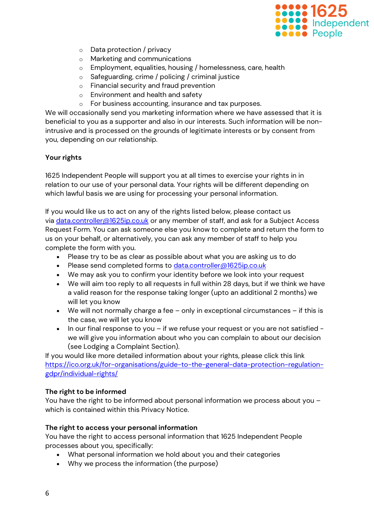

- o Data protection / privacy
- o Marketing and communications
- o Employment, equalities, housing / homelessness, care, health
- Safeguarding, crime / policing / criminal justice
- o Financial security and fraud prevention
- o Environment and health and safety
- o For business accounting, insurance and tax purposes.

We will occasionally send you marketing information where we have assessed that it is beneficial to you as a supporter and also in our interests. Such information will be nonintrusive and is processed on the grounds of legitimate interests or by consent from you, depending on our relationship.

# <span id="page-5-0"></span>**Your rights**

1625 Independent People will support you at all times to exercise your rights in in relation to our use of your personal data. Your rights will be different depending on which lawful basis we are using for processing your personal information.

If you would like us to act on any of the rights listed below, please contact us via [data.controller@1625ip.co.uk](mailto:Data.controller@1625ip.co.uk) or any member of staff, and ask for a Subject Access Request Form. You can ask someone else you know to complete and return the form to us on your behalf, or alternatively, you can ask any member of staff to help you complete the form with you.

- Please try to be as clear as possible about what you are asking us to do
- Please send completed forms to [data.controller@1625ip.co.uk](mailto:data.controller@1625ip.co.uk)
- We may ask you to confirm your identity before we look into your request
- We will aim too reply to all requests in full within 28 days, but if we think we have a valid reason for the response taking longer (upto an additional 2 months) we will let you know
- We will not normally charge a fee only in exceptional circumstances if this is the case, we will let you know
- In our final response to you if we refuse your request or you are not satisfied we will give you information about who you can complain to about our decision (see Lodging a Complaint Section).

If you would like more detailed information about your rights, please click this link [https://ico.org.uk/for-organisations/guide-to-the-general-data-protection-regulation](https://ico.org.uk/for-organisations/guide-to-the-general-data-protection-regulation-gdpr/individual-rights/)[gdpr/individual-rights/](https://ico.org.uk/for-organisations/guide-to-the-general-data-protection-regulation-gdpr/individual-rights/)

# **The right to be informed**

You have the right to be informed about personal information we process about you – which is contained within this Privacy Notice.

# **The right to access your personal information**

You have the right to access personal information that 1625 Independent People processes about you, specifically:

- What personal information we hold about you and their categories
- Why we process the information (the purpose)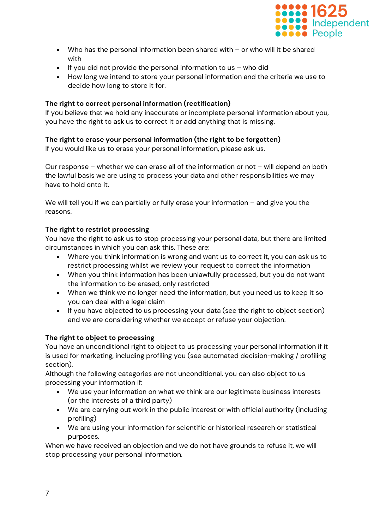

- Who has the personal information been shared with or who will it be shared with
- If you did not provide the personal information to us who did
- How long we intend to store your personal information and the criteria we use to decide how long to store it for.

# **The right to correct personal information (rectification)**

If you believe that we hold any inaccurate or incomplete personal information about you, you have the right to ask us to correct it or add anything that is missing.

# **The right to erase your personal information (the right to be forgotten)**

If you would like us to erase your personal information, please ask us.

Our response – whether we can erase all of the information or not – will depend on both the lawful basis we are using to process your data and other responsibilities we may have to hold onto it.

We will tell you if we can partially or fully erase your information – and give you the reasons.

# **The right to restrict processing**

You have the right to ask us to stop processing your personal data, but there are limited circumstances in which you can ask this. These are:

- Where you think information is wrong and want us to correct it, you can ask us to restrict processing whilst we review your request to correct the information
- When you think information has been unlawfully processed, but you do not want the information to be erased, only restricted
- When we think we no longer need the information, but you need us to keep it so you can deal with a legal claim
- If you have objected to us processing your data (see the right to object section) and we are considering whether we accept or refuse your objection.

# **The right to object to processing**

You have an unconditional right to object to us processing your personal information if it is used for marketing, including profiling you (see automated decision-making / profiling section).

Although the following categories are not unconditional, you can also object to us processing your information if:

- We use your information on what we think are our legitimate business interests (or the interests of a third party)
- We are carrying out work in the public interest or with official authority (including profiling)
- We are using your information for scientific or historical research or statistical purposes.

When we have received an objection and we do not have grounds to refuse it, we will stop processing your personal information.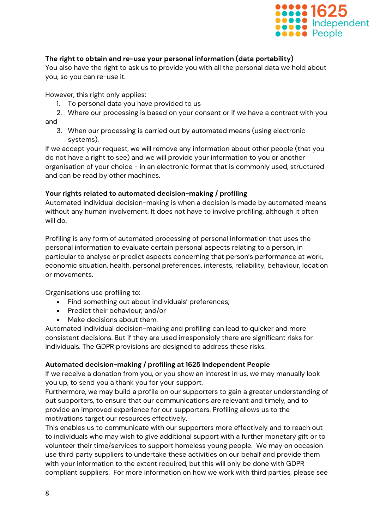

# **The right to obtain and re-use your personal information (data portability)**

You also have the right to ask us to provide you with all the personal data we hold about you, so you can re-use it.

However, this right only applies:

- 1. To personal data you have provided to us
- 2. Where our processing is based on your consent or if we have a contract with you and
	- 3. When our processing is carried out by automated means (using electronic systems).

If we accept your request, we will remove any information about other people (that you do not have a right to see) and we will provide your information to you or another organisation of your choice - in an electronic format that is commonly used, structured and can be read by other machines.

# **Your rights related to automated decision-making / profiling**

Automated individual decision-making is when a decision is made by automated means without any human involvement. It does not have to involve profiling, although it often will do.

Profiling is any form of automated processing of personal information that uses the personal information to evaluate certain personal aspects relating to a person, in particular to analyse or predict aspects concerning that person's performance at work, economic situation, health, personal preferences, interests, reliability, behaviour, location or movements.

Organisations use profiling to:

- Find something out about individuals' preferences;
- Predict their behaviour; and/or
- Make decisions about them.

Automated individual decision-making and profiling can lead to quicker and more consistent decisions. But if they are used irresponsibly there are significant risks for individuals. The GDPR provisions are designed to address these risks.

# **Automated decision-making / profiling at 1625 Independent People**

If we receive a donation from you, or you show an interest in us, we may manually look you up, to send you a thank you for your support.

Furthermore, we may build a profile on our supporters to gain a greater understanding of out supporters, to ensure that our communications are relevant and timely, and to provide an improved experience for our supporters. Profiling allows us to the motivations target our resources effectively.

This enables us to communicate with our supporters more effectively and to reach out to individuals who may wish to give additional support with a further monetary gift or to volunteer their time/services to support homeless young people. We may on occasion use third party suppliers to undertake these activities on our behalf and provide them with your information to the extent required, but this will only be done with GDPR compliant suppliers. For more information on how we work with third parties, please see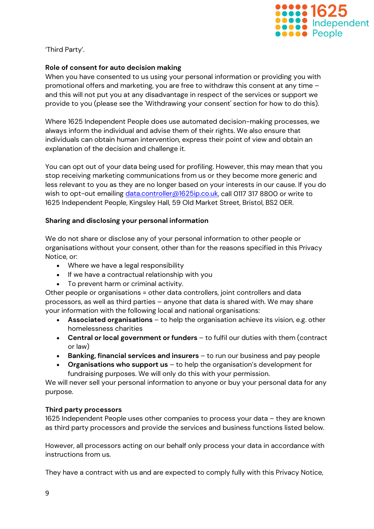

'Third Party'.

# **Role of consent for auto decision making**

When you have consented to us using your personal information or providing you with promotional offers and marketing, you are free to withdraw this consent at any time – and this will not put you at any disadvantage in respect of the services or support we provide to you (please see the 'Withdrawing your consent' section for how to do this).

Where 1625 Independent People does use automated decision-making processes, we always inform the individual and advise them of their rights. We also ensure that individuals can obtain human intervention, express their point of view and obtain an explanation of the decision and challenge it.

You can opt out of your data being used for profiling. However, this may mean that you stop receiving marketing communications from us or they become more generic and less relevant to you as they are no longer based on your interests in our cause. If you do wish to opt-out emailing [data.controller@1625ip.co.uk,](mailto:data.controller@1625ip.co.uk) call 0117 317 8800 or write to 1625 Independent People, Kingsley Hall, 59 Old Market Street, Bristol, BS2 0ER.

# <span id="page-8-0"></span>**Sharing and disclosing your personal information**

We do not share or disclose any of your personal information to other people or organisations without your consent, other than for the reasons specified in this Privacy Notice, or:

- Where we have a legal responsibility
- If we have a contractual relationship with you
- To prevent harm or criminal activity.

Other people or organisations = other data controllers, joint controllers and data processors, as well as third parties – anyone that data is shared with. We may share your information with the following local and national organisations:

- **Associated organisations** to help the organisation achieve its vision, e.g. other homelessness charities
- **Central or local government or funders** to fulfil our duties with them (contract or law)
- **Banking, financial services and insurers** to run our business and pay people
- **Organisations who support us** to help the organisation's development for fundraising purposes. We will only do this with your permission.

We will never sell your personal information to anyone or buy your personal data for any purpose.

# **Third party processors**

1625 Independent People uses other companies to process your data – they are known as third party processors and provide the services and business functions listed below.

However, all processors acting on our behalf only process your data in accordance with instructions from us.

They have a contract with us and are expected to comply fully with this Privacy Notice,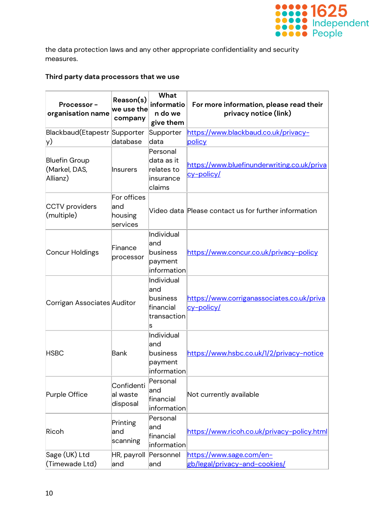

the data protection laws and any other appropriate confidentiality and security measures.

# **Third party data processors that we use**

| Processor-<br>organisation name                   | Reason(s)<br>we use the<br>company         | What<br>informatio<br>n do we<br>give them                       | For more information, please read their<br>privacy notice (link) |
|---------------------------------------------------|--------------------------------------------|------------------------------------------------------------------|------------------------------------------------------------------|
| Blackbaud(Etapestr Supporter<br>y)                | database                                   | Supporter<br>data                                                | https://www.blackbaud.co.uk/privacy-<br>policy                   |
| <b>Bluefin Group</b><br>(Markel, DAS,<br>Allianz) | Insurers                                   | Personal<br>data as it<br>relates to<br>insurance<br>claims      | https://www.bluefinunderwriting.co.uk/priva<br><u>cy-policy/</u> |
| <b>CCTV</b> providers<br>(multiple)               | For offices<br>land<br>housing<br>services |                                                                  | Video data Please contact us for further information             |
| Concur Holdings                                   | Finance<br>processor                       | Individual<br>and<br>business<br>payment<br>information          | https://www.concur.co.uk/privacy-policy                          |
| Corrigan Associates Auditor                       |                                            | Individual<br>land<br>business<br>financial<br>transaction<br>ls | https://www.corriganassociates.co.uk/priva<br>cy-policy/         |
| <b>HSBC</b>                                       | Bank                                       | Individual<br>land<br>business<br>payment<br>information         | https://www.hsbc.co.uk/1/2/privacy-notice                        |
| Purple Office                                     | Confidenti<br>al waste<br>disposal         | Personal<br>land<br>financial<br>information                     | Not currently available                                          |
| Ricoh                                             | Printing<br>and<br>scanning                | Personal<br>land<br>financial<br>information                     | https://www.ricoh.co.uk/privacy-policy.html                      |
| Sage (UK) Ltd<br>(Timewade Ltd)                   | HR, payroll<br>and                         | Personnel<br>and                                                 | https://www.sage.com/en-<br>gb/legal/privacy-and-cookies/        |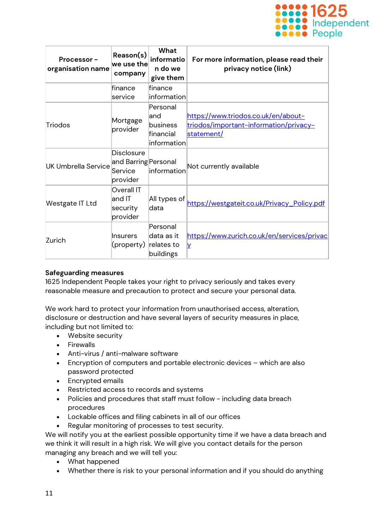

| Processor-<br>organisation name | Reason(s)<br>we use the<br>company                               | What<br>informatio<br>n do we<br>give them              | For more information, please read their<br>privacy notice (link)                            |
|---------------------------------|------------------------------------------------------------------|---------------------------------------------------------|---------------------------------------------------------------------------------------------|
|                                 | finance<br>service                                               | finance<br>linformation                                 |                                                                                             |
| Triodos                         | Mortgage<br>provider                                             | Personal<br>and<br>business<br>financial<br>information | https://www.triodos.co.uk/en/about-<br>triodos/important-information/privacy-<br>statement/ |
| <b>UK Umbrella Service</b>      | <b>Disclosure</b><br>and Barring Personal<br>Service<br>provider | information                                             | Not currently available                                                                     |
| Westgate IT Ltd                 | <b>Overall IT</b><br>and IT<br>security<br>provider              | All types of<br>data                                    | https://westgateit.co.uk/Privacy_Policy.pdf                                                 |
| Zurich                          | Insurers<br>(property)                                           | Personal<br>ldata as it<br>relates to<br>buildings      | https://www.zurich.co.uk/en/services/privac<br>y                                            |

# <span id="page-10-0"></span>**Safeguarding measures**

1625 Independent People takes your right to privacy seriously and takes every reasonable measure and precaution to protect and secure your personal data.

We work hard to protect your information from unauthorised access, alteration, disclosure or destruction and have several layers of security measures in place, including but not limited to:

- Website security
- Firewalls
- Anti-virus / anti-malware software
- Encryption of computers and portable electronic devices which are also password protected
- Encrypted emails
- Restricted access to records and systems
- Policies and procedures that staff must follow including data breach procedures
- Lockable offices and filing cabinets in all of our offices
- Regular monitoring of processes to test security.

We will notify you at the earliest possible opportunity time if we have a data breach and we think it will result in a high risk. We will give you contact details for the person managing any breach and we will tell you:

- What happened
- Whether there is risk to your personal information and if you should do anything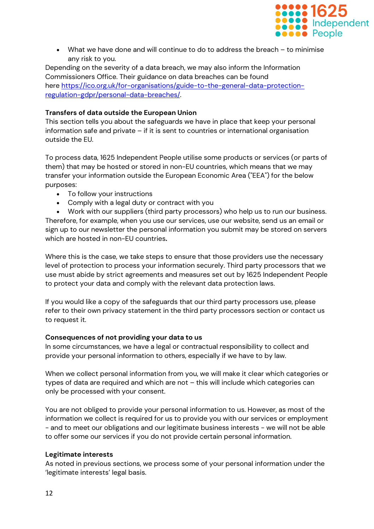

• What we have done and will continue to do to address the breach – to minimise any risk to you.

Depending on the severity of a data breach, we may also inform the Information Commissioners Office. Their guidance on data breaches can be found here [https://ico.org.uk/for-organisations/guide-to-the-general-data-protection](https://ico.org.uk/for-organisations/guide-to-the-general-data-protection-regulation-gdpr/personal-data-breaches/)[regulation-gdpr/personal-data-breaches/.](https://ico.org.uk/for-organisations/guide-to-the-general-data-protection-regulation-gdpr/personal-data-breaches/)

# <span id="page-11-0"></span>**Transfers of data outside the European Union**

This section tells you about the safeguards we have in place that keep your personal information safe and private – if it is sent to countries or international organisation outside the EU.

To process data, 1625 Independent People utilise some products or services (or parts of them) that may be hosted or stored in non-EU countries, which means that we may transfer your information outside the European Economic Area ("EEA") for the below purposes:

- To follow your instructions
- Comply with a legal duty or contract with you

• Work with our suppliers (third party processors) who help us to run our business. Therefore, for example, when you use our services, use our website, send us an email or sign up to our newsletter the personal information you submit may be stored on servers which are hosted in non-EU countries**.**

Where this is the case, we take steps to ensure that those providers use the necessary level of protection to process your information securely. Third party processors that we use must abide by strict agreements and measures set out by 1625 Independent People to protect your data and comply with the relevant data protection laws.

If you would like a copy of the safeguards that our third party processors use, please refer to their own privacy statement in the third party processors section or contact us to request it.

# <span id="page-11-1"></span>**Consequences of not providing your data to us**

In some circumstances, we have a legal or contractual responsibility to collect and provide your personal information to others, especially if we have to by law.

When we collect personal information from you, we will make it clear which categories or types of data are required and which are not – this will include which categories can only be processed with your consent.

You are not obliged to provide your personal information to us. However, as most of the information we collect is required for us to provide you with our services or employment - and to meet our obligations and our legitimate business interests - we will not be able to offer some our services if you do not provide certain personal information.

# <span id="page-11-2"></span>**Legitimate interests**

As noted in previous sections, we process some of your personal information under the 'legitimate interests' legal basis.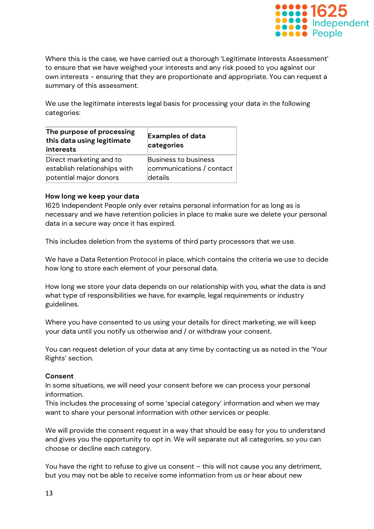

Where this is the case, we have carried out a thorough 'Legitimate Interests Assessment' to ensure that we have weighed your interests and any risk posed to you against our own interests - ensuring that they are proportionate and appropriate. You can request a summary of this assessment.

We use the legitimate interests legal basis for processing your data in the following categories:

| The purpose of processing<br>this data using legitimate<br>interests | <b>Examples of data</b><br>categories |
|----------------------------------------------------------------------|---------------------------------------|
| Direct marketing and to                                              | Business to business                  |
| establish relationships with                                         | communications / contact              |
| potential major donors                                               | details                               |

#### <span id="page-12-0"></span>**How long we keep your data**

1625 Independent People only ever retains personal information for as long as is necessary and we have retention policies in place to make sure we delete your personal data in a secure way once it has expired.

This includes deletion from the systems of third party processors that we use.

We have a Data Retention Protocol in place, which contains the criteria we use to decide how long to store each element of your personal data.

How long we store your data depends on our relationship with you, what the data is and what type of responsibilities we have, for example, legal requirements or industry guidelines.

Where you have consented to us using your details for direct marketing, we will keep your data until you notify us otherwise and / or withdraw your consent.

You can request deletion of your data at any time by contacting us as noted in the 'Your Rights' section.

#### <span id="page-12-1"></span>**Consent**

In some situations, we will need your consent before we can process your personal information.

This includes the processing of some 'special category' information and when we may want to share your personal information with other services or people.

We will provide the consent request in a way that should be easy for you to understand and gives you the opportunity to opt in. We will separate out all categories, so you can choose or decline each category.

You have the right to refuse to give us consent – this will not cause you any detriment, but you may not be able to receive some information from us or hear about new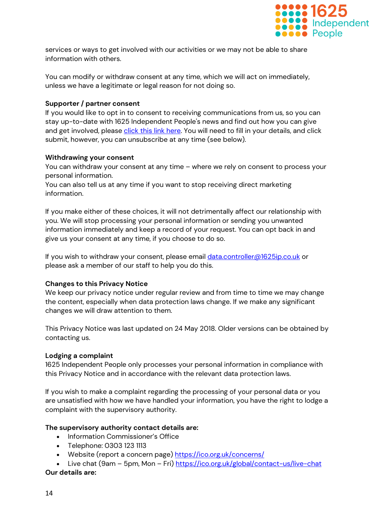

services or ways to get involved with our activities or we may not be able to share information with others.

You can modify or withdraw consent at any time, which we will act on immediately, unless we have a legitimate or legal reason for not doing so.

# **Supporter / partner consent**

If you would like to opt in to consent to receiving communications from us, so you can stay up-to-date with 1625 Independent People's news and find out how you can give and get involved, please [click this link here.](https://app.etapestry.com/onlineforms/1625IndependentPeople/consent.html) You will need to fill in your details, and click submit, however, you can unsubscribe at any time (see below).

# <span id="page-13-0"></span>**Withdrawing your consent**

You can withdraw your consent at any time – where we rely on consent to process your personal information.

You can also tell us at any time if you want to stop receiving direct marketing information.

If you make either of these choices, it will not detrimentally affect our relationship with you. We will stop processing your personal information or sending you unwanted information immediately and keep a record of your request. You can opt back in and give us your consent at any time, if you choose to do so.

If you wish to withdraw your consent, please email [data.controller@1625ip.co.uk](mailto:data.controller@1625ip.co.uk) or please ask a member of our staff to help you do this.

# <span id="page-13-1"></span>**Changes to this Privacy Notice**

We keep our privacy notice under regular review and from time to time we may change the content, especially when data protection laws change. If we make any significant changes we will draw attention to them.

This Privacy Notice was last updated on 24 May 2018. Older versions can be obtained by contacting us.

#### <span id="page-13-2"></span>**Lodging a complaint**

1625 Independent People only processes your personal information in compliance with this Privacy Notice and in accordance with the relevant data protection laws.

If you wish to make a complaint regarding the processing of your personal data or you are unsatisfied with how we have handled your information, you have the right to lodge a complaint with the supervisory authority.

# **The supervisory authority contact details are:**

- Information Commissioner's Office
- Telephone: 0303 123 1113
- Website (report a concern page) <https://ico.org.uk/concerns/>
- Live chat (9am 5pm, Mon Fri) <https://ico.org.uk/global/contact-us/live-chat>

#### **Our details are:**